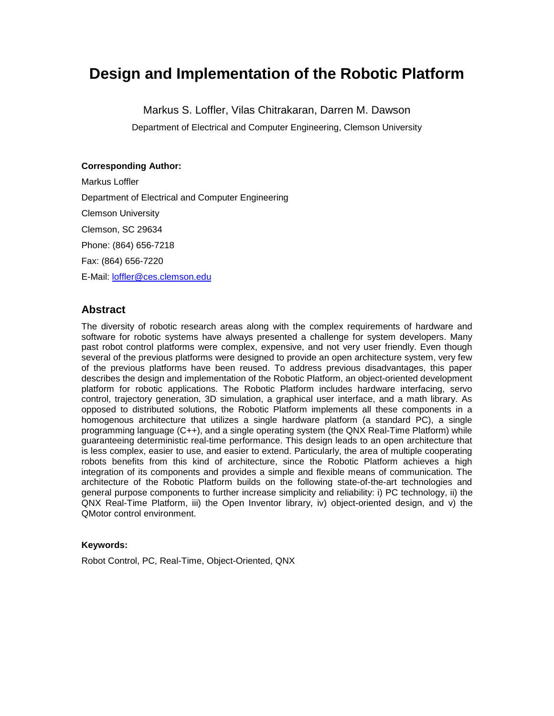# **Design and Implementation of the Robotic Platform**

Markus S. Loffler, Vilas Chitrakaran, Darren M. Dawson

Department of Electrical and Computer Engineering, Clemson University

#### **Corresponding Author:**

Markus Loffler Department of Electrical and Computer Engineering Clemson University Clemson, SC 29634 Phone: (864) 656-7218 Fax: (864) 656-7220 E-Mail: loffler@ces.clemson.edu

#### **Abstract**

The diversity of robotic research areas along with the complex requirements of hardware and software for robotic systems have always presented a challenge for system developers. Many past robot control platforms were complex, expensive, and not very user friendly. Even though several of the previous platforms were designed to provide an open architecture system, very few of the previous platforms have been reused. To address previous disadvantages, this paper describes the design and implementation of the Robotic Platform, an object-oriented development platform for robotic applications. The Robotic Platform includes hardware interfacing, servo control, trajectory generation, 3D simulation, a graphical user interface, and a math library. As opposed to distributed solutions, the Robotic Platform implements all these components in a homogenous architecture that utilizes a single hardware platform (a standard PC), a single programming language (C++), and a single operating system (the QNX Real-Time Platform) while guaranteeing deterministic real-time performance. This design leads to an open architecture that is less complex, easier to use, and easier to extend. Particularly, the area of multiple cooperating robots benefits from this kind of architecture, since the Robotic Platform achieves a high integration of its components and provides a simple and flexible means of communication. The architecture of the Robotic Platform builds on the following state-of-the-art technologies and general purpose components to further increase simplicity and reliability: i) PC technology, ii) the QNX Real-Time Platform, iii) the Open Inventor library, iv) object-oriented design, and v) the QMotor control environment.

#### **Keywords:**

Robot Control, PC, Real-Time, Object-Oriented, QNX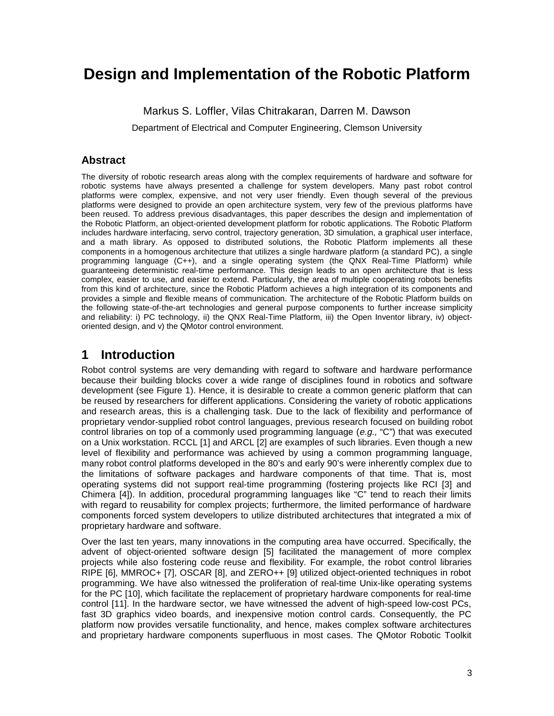# **Design and Implementation of the Robotic Platform**

Markus S. Loffler, Vilas Chitrakaran, Darren M. Dawson

Department of Electrical and Computer Engineering, Clemson University

#### **Abstract**

The diversity of robotic research areas along with the complex requirements of hardware and software for robotic systems have always presented a challenge for system developers. Many past robot control platforms were complex, expensive, and not very user friendly. Even though several of the previous platforms were designed to provide an open architecture system, very few of the previous platforms have been reused. To address previous disadvantages, this paper describes the design and implementation of the Robotic Platform, an object-oriented development platform for robotic applications. The Robotic Platform includes hardware interfacing, servo control, trajectory generation, 3D simulation, a graphical user interface, and a math library. As opposed to distributed solutions, the Robotic Platform implements all these components in a homogenous architecture that utilizes a single hardware platform (a standard PC), a single programming language (C++), and a single operating system (the QNX Real-Time Platform) while guaranteeing deterministic real-time performance. This design leads to an open architecture that is less complex, easier to use, and easier to extend. Particularly, the area of multiple cooperating robots benefits from this kind of architecture, since the Robotic Platform achieves a high integration of its components and provides a simple and flexible means of communication. The architecture of the Robotic Platform builds on the following state-of-the-art technologies and general purpose components to further increase simplicity and reliability: i) PC technology, ii) the QNX Real-Time Platform, iii) the Open Inventor library, iv) objectoriented design, and v) the QMotor control environment.

## **1 Introduction**

Robot control systems are very demanding with regard to software and hardware performance because their building blocks cover a wide range of disciplines found in robotics and software development (see Figure 1). Hence, it is desirable to create a common generic platform that can be reused by researchers for different applications. Considering the variety of robotic applications and research areas, this is a challenging task. Due to the lack of flexibility and performance of proprietary vendor-supplied robot control languages, previous research focused on building robot control libraries on top of a commonly used programming language (e.g., "C") that was executed on a Unix workstation. RCCL [1] and ARCL [2] are examples of such libraries. Even though a new level of flexibility and performance was achieved by using a common programming language, many robot control platforms developed in the 80's and early 90's were inherently complex due to the limitations of software packages and hardware components of that time. That is, most operating systems did not support real-time programming (fostering projects like RCI [3] and Chimera [4]). In addition, procedural programming languages like "C" tend to reach their limits with regard to reusability for complex projects; furthermore, the limited performance of hardware components forced system developers to utilize distributed architectures that integrated a mix of proprietary hardware and software.

Over the last ten years, many innovations in the computing area have occurred. Specifically, the advent of object-oriented software design [5] facilitated the management of more complex projects while also fostering code reuse and flexibility. For example, the robot control libraries RIPE [6], MMROC+ [7], OSCAR [8], and ZERO++ [9] utilized object-oriented techniques in robot programming. We have also witnessed the proliferation of real-time Unix-like operating systems for the PC [10], which facilitate the replacement of proprietary hardware components for real-time control [11]. In the hardware sector, we have witnessed the advent of high-speed low-cost PCs, fast 3D graphics video boards, and inexpensive motion control cards. Consequently, the PC platform now provides versatile functionality, and hence, makes complex software architectures and proprietary hardware components superfluous in most cases. The QMotor Robotic Toolkit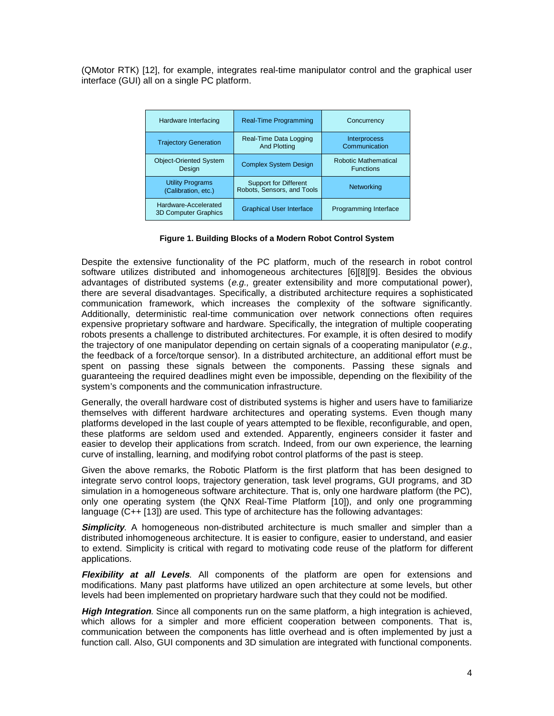(QMotor RTK) [12], for example, integrates real-time manipulator control and the graphical user interface (GUI) all on a single PC platform.

| Hardware Interfacing                                | Real-Time Programming                               | Concurrency                              |
|-----------------------------------------------------|-----------------------------------------------------|------------------------------------------|
| <b>Trajectory Generation</b>                        | Real-Time Data Logging<br><b>And Plotting</b>       | Interprocess<br>Communication            |
| <b>Object-Oriented System</b><br>Design             | <b>Complex System Design</b>                        | Robotic Mathematical<br><b>Functions</b> |
| <b>Utility Programs</b><br>(Calibration, etc.)      | Support for Different<br>Robots, Sensors, and Tools | Networking                               |
| Hardware-Accelerated<br><b>3D Computer Graphics</b> | <b>Graphical User Interface</b>                     | Programming Interface                    |

#### **Figure 1. Building Blocks of a Modern Robot Control System**

Despite the extensive functionality of the PC platform, much of the research in robot control software utilizes distributed and inhomogeneous architectures [6][8][9]. Besides the obvious advantages of distributed systems (e.g., greater extensibility and more computational power), there are several disadvantages. Specifically, a distributed architecture requires a sophisticated communication framework, which increases the complexity of the software significantly. Additionally, deterministic real-time communication over network connections often requires expensive proprietary software and hardware. Specifically, the integration of multiple cooperating robots presents a challenge to distributed architectures. For example, it is often desired to modify the trajectory of one manipulator depending on certain signals of a cooperating manipulator  $(e.a.,)$ the feedback of a force/torque sensor). In a distributed architecture, an additional effort must be spent on passing these signals between the components. Passing these signals and guaranteeing the required deadlines might even be impossible, depending on the flexibility of the system's components and the communication infrastructure.

Generally, the overall hardware cost of distributed systems is higher and users have to familiarize themselves with different hardware architectures and operating systems. Even though many platforms developed in the last couple of years attempted to be flexible, reconfigurable, and open, these platforms are seldom used and extended. Apparently, engineers consider it faster and easier to develop their applications from scratch. Indeed, from our own experience, the learning curve of installing, learning, and modifying robot control platforms of the past is steep.

Given the above remarks, the Robotic Platform is the first platform that has been designed to integrate servo control loops, trajectory generation, task level programs, GUI programs, and 3D simulation in a homogeneous software architecture. That is, only one hardware platform (the PC), only one operating system (the QNX Real-Time Platform [10]), and only one programming language (C++ [13]) are used. This type of architecture has the following advantages:

**Simplicity**. A homogeneous non-distributed architecture is much smaller and simpler than a distributed inhomogeneous architecture. It is easier to configure, easier to understand, and easier to extend. Simplicity is critical with regard to motivating code reuse of the platform for different applications.

**Flexibility at all Levels**. All components of the platform are open for extensions and modifications. Many past platforms have utilized an open architecture at some levels, but other levels had been implemented on proprietary hardware such that they could not be modified.

**High Integration**. Since all components run on the same platform, a high integration is achieved, which allows for a simpler and more efficient cooperation between components. That is, communication between the components has little overhead and is often implemented by just a function call. Also, GUI components and 3D simulation are integrated with functional components.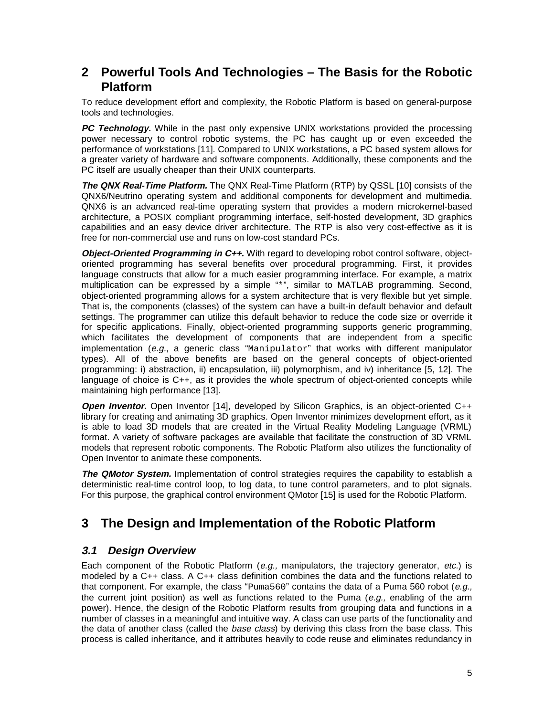### **2 Powerful Tools And Technologies – The Basis for the Robotic Platform**

To reduce development effort and complexity, the Robotic Platform is based on general-purpose tools and technologies.

**PC Technology.** While in the past only expensive UNIX workstations provided the processing power necessary to control robotic systems, the PC has caught up or even exceeded the performance of workstations [11]. Compared to UNIX workstations, a PC based system allows for a greater variety of hardware and software components. Additionally, these components and the PC itself are usually cheaper than their UNIX counterparts.

**The QNX Real-Time Platform.** The QNX Real-Time Platform (RTP) by QSSL [10] consists of the QNX6/Neutrino operating system and additional components for development and multimedia. QNX6 is an advanced real-time operating system that provides a modern microkernel-based architecture, a POSIX compliant programming interface, self-hosted development, 3D graphics capabilities and an easy device driver architecture. The RTP is also very cost-effective as it is free for non-commercial use and runs on low-cost standard PCs.

**Object-Oriented Programming in C++.** With regard to developing robot control software, objectoriented programming has several benefits over procedural programming. First, it provides language constructs that allow for a much easier programming interface. For example, a matrix multiplication can be expressed by a simple "\*", similar to MATLAB programming. Second, object-oriented programming allows for a system architecture that is very flexible but yet simple. That is, the components (classes) of the system can have a built-in default behavior and default settings. The programmer can utilize this default behavior to reduce the code size or override it for specific applications. Finally, object-oriented programming supports generic programming, which facilitates the development of components that are independent from a specific implementation (e.g., a generic class "Manipulator" that works with different manipulator types). All of the above benefits are based on the general concepts of object-oriented programming: i) abstraction, ii) encapsulation, iii) polymorphism, and iv) inheritance [5, 12]. The language of choice is C++, as it provides the whole spectrum of object-oriented concepts while maintaining high performance [13].

**Open Inventor.** Open Inventor [14], developed by Silicon Graphics, is an object-oriented C++ library for creating and animating 3D graphics. Open Inventor minimizes development effort, as it is able to load 3D models that are created in the Virtual Reality Modeling Language (VRML) format. A variety of software packages are available that facilitate the construction of 3D VRML models that represent robotic components. The Robotic Platform also utilizes the functionality of Open Inventor to animate these components.

**The QMotor System.** Implementation of control strategies requires the capability to establish a deterministic real-time control loop, to log data, to tune control parameters, and to plot signals. For this purpose, the graphical control environment QMotor [15] is used for the Robotic Platform.

## **3 The Design and Implementation of the Robotic Platform**

#### **3.1 Design Overview**

Each component of the Robotic Platform  $(e.g.,$  manipulators, the trajectory generator,  $etc.$ ) is modeled by a C++ class. A C++ class definition combines the data and the functions related to that component. For example, the class " $Puma560$ " contains the data of a Puma 560 robot (e.g., the current joint position) as well as functions related to the Puma  $(e.g.,)$  enabling of the arm power). Hence, the design of the Robotic Platform results from grouping data and functions in a number of classes in a meaningful and intuitive way. A class can use parts of the functionality and the data of another class (called the base class) by deriving this class from the base class. This process is called inheritance, and it attributes heavily to code reuse and eliminates redundancy in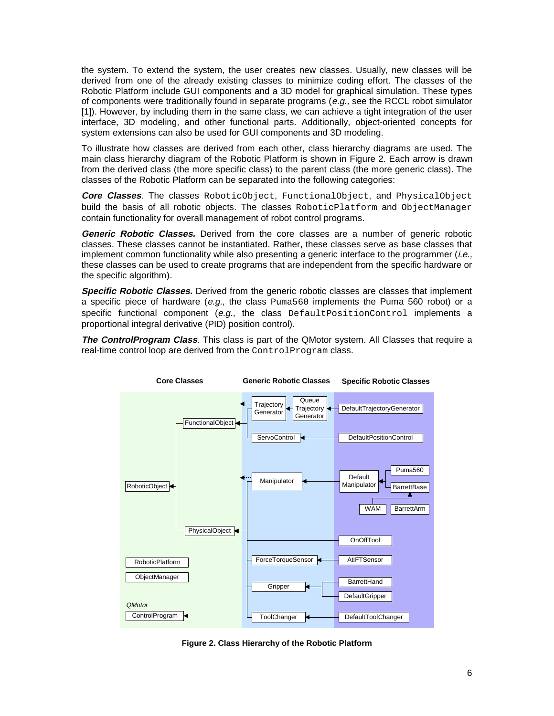the system. To extend the system, the user creates new classes. Usually, new classes will be derived from one of the already existing classes to minimize coding effort. The classes of the Robotic Platform include GUI components and a 3D model for graphical simulation. These types of components were traditionally found in separate programs ( $e.g.,$  see the RCCL robot simulator [1]). However, by including them in the same class, we can achieve a tight integration of the user interface, 3D modeling, and other functional parts. Additionally, object-oriented concepts for system extensions can also be used for GUI components and 3D modeling.

To illustrate how classes are derived from each other, class hierarchy diagrams are used. The main class hierarchy diagram of the Robotic Platform is shown in Figure 2. Each arrow is drawn from the derived class (the more specific class) to the parent class (the more generic class). The classes of the Robotic Platform can be separated into the following categories:

**Core Classes**. The classes RoboticObject, FunctionalObject, and PhysicalObject build the basis of all robotic objects. The classes RoboticPlatform and ObjectManager contain functionality for overall management of robot control programs.

**Generic Robotic Classes.** Derived from the core classes are a number of generic robotic classes. These classes cannot be instantiated. Rather, these classes serve as base classes that implement common functionality while also presenting a generic interface to the programmer  $(i.e.,$ these classes can be used to create programs that are independent from the specific hardware or the specific algorithm).

**Specific Robotic Classes.** Derived from the generic robotic classes are classes that implement a specific piece of hardware (e.g., the class  $Puma560$  implements the Puma 560 robot) or a specific functional component (e.g., the class  $DefinitionControl$  implements a proportional integral derivative (PID) position control).

**The ControlProgram Class**. This class is part of the QMotor system. All Classes that require a real-time control loop are derived from the ControlProgram class.



**Figure 2. Class Hierarchy of the Robotic Platform**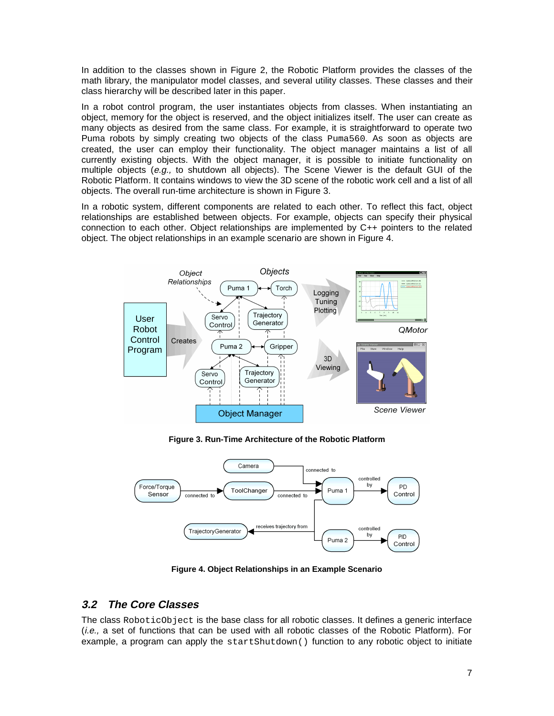In addition to the classes shown in Figure 2, the Robotic Platform provides the classes of the math library, the manipulator model classes, and several utility classes. These classes and their class hierarchy will be described later in this paper.

In a robot control program, the user instantiates objects from classes. When instantiating an object, memory for the object is reserved, and the object initializes itself. The user can create as many objects as desired from the same class. For example, it is straightforward to operate two Puma robots by simply creating two objects of the class Puma560. As soon as objects are created, the user can employ their functionality. The object manager maintains a list of all currently existing objects. With the object manager, it is possible to initiate functionality on multiple objects (e.g., to shutdown all objects). The Scene Viewer is the default GUI of the Robotic Platform. It contains windows to view the 3D scene of the robotic work cell and a list of all objects. The overall run-time architecture is shown in Figure 3.

In a robotic system, different components are related to each other. To reflect this fact, object relationships are established between objects. For example, objects can specify their physical connection to each other. Object relationships are implemented by C++ pointers to the related object. The object relationships in an example scenario are shown in Figure 4.



**Figure 3. Run-Time Architecture of the Robotic Platform** 



**Figure 4. Object Relationships in an Example Scenario** 

#### **3.2 The Core Classes**

The class RoboticObject is the base class for all robotic classes. It defines a generic interface (i.e., a set of functions that can be used with all robotic classes of the Robotic Platform). For example, a program can apply the startShutdown() function to any robotic object to initiate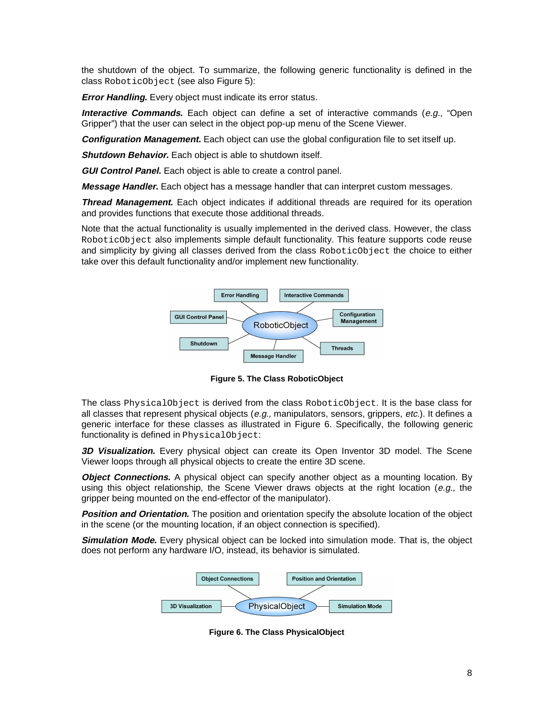the shutdown of the object. To summarize, the following generic functionality is defined in the class RoboticObject (see also Figure 5):

**Error Handling.** Every object must indicate its error status.

**Interactive Commands.** Each object can define a set of interactive commands (e.g., "Open Gripper") that the user can select in the object pop-up menu of the Scene Viewer.

**Configuration Management.** Each object can use the global configuration file to set itself up.

**Shutdown Behavior.** Each object is able to shutdown itself.

**GUI Control Panel.** Each object is able to create a control panel.

**Message Handler.** Each object has a message handler that can interpret custom messages.

**Thread Management.** Each object indicates if additional threads are required for its operation and provides functions that execute those additional threads.

Note that the actual functionality is usually implemented in the derived class. However, the class RoboticObject also implements simple default functionality. This feature supports code reuse and simplicity by giving all classes derived from the class RoboticObject the choice to either take over this default functionality and/or implement new functionality.



**Figure 5. The Class RoboticObject** 

The class PhysicalObject is derived from the class RoboticObject. It is the base class for all classes that represent physical objects ( $e.g.,$  manipulators, sensors, grippers,  $etc.$ ). It defines a generic interface for these classes as illustrated in Figure 6. Specifically, the following generic functionality is defined in PhysicalObject:

**3D Visualization.** Every physical object can create its Open Inventor 3D model. The Scene Viewer loops through all physical objects to create the entire 3D scene.

**Object Connections.** A physical object can specify another object as a mounting location. By using this object relationship, the Scene Viewer draws objects at the right location (e.g., the gripper being mounted on the end-effector of the manipulator).

**Position and Orientation.** The position and orientation specify the absolute location of the object in the scene (or the mounting location, if an object connection is specified).

**Simulation Mode.** Every physical object can be locked into simulation mode. That is, the object does not perform any hardware I/O, instead, its behavior is simulated.



**Figure 6. The Class PhysicalObject**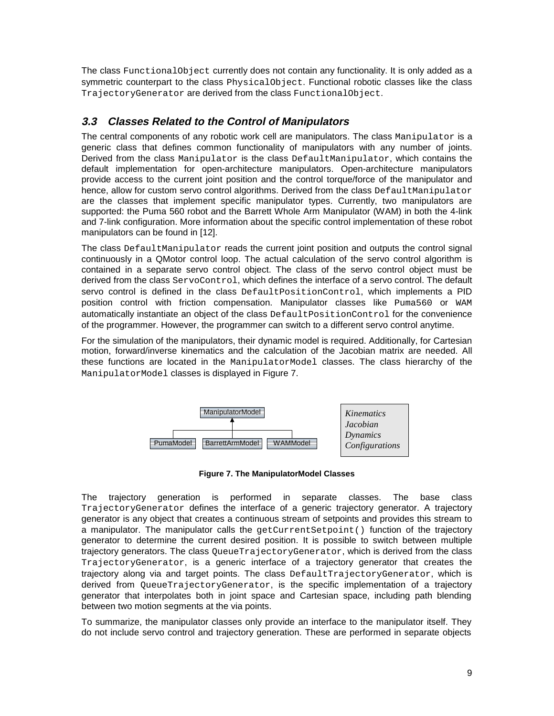The class FunctionalObject currently does not contain any functionality. It is only added as a symmetric counterpart to the class PhysicalObject. Functional robotic classes like the class TrajectoryGenerator are derived from the class FunctionalObject.

### **3.3 Classes Related to the Control of Manipulators**

The central components of any robotic work cell are manipulators. The class Manipulator is a generic class that defines common functionality of manipulators with any number of joints. Derived from the class Manipulator is the class DefaultManipulator, which contains the default implementation for open-architecture manipulators. Open-architecture manipulators provide access to the current joint position and the control torque/force of the manipulator and hence, allow for custom servo control algorithms. Derived from the class DefaultManipulator are the classes that implement specific manipulator types. Currently, two manipulators are supported: the Puma 560 robot and the Barrett Whole Arm Manipulator (WAM) in both the 4-link and 7-link configuration. More information about the specific control implementation of these robot manipulators can be found in [12].

The class DefaultManipulator reads the current joint position and outputs the control signal continuously in a QMotor control loop. The actual calculation of the servo control algorithm is contained in a separate servo control object. The class of the servo control object must be derived from the class ServoControl, which defines the interface of a servo control. The default servo control is defined in the class DefaultPositionControl, which implements a PID position control with friction compensation. Manipulator classes like Puma560 or WAM automatically instantiate an object of the class DefaultPositionControl for the convenience of the programmer. However, the programmer can switch to a different servo control anytime.

For the simulation of the manipulators, their dynamic model is required. Additionally, for Cartesian motion, forward/inverse kinematics and the calculation of the Jacobian matrix are needed. All these functions are located in the ManipulatorModel classes. The class hierarchy of the ManipulatorModel classes is displayed in Figure 7.



**Figure 7. The ManipulatorModel Classes** 

The trajectory generation is performed in separate classes. The base class TrajectoryGenerator defines the interface of a generic trajectory generator. A trajectory generator is any object that creates a continuous stream of setpoints and provides this stream to a manipulator. The manipulator calls the getCurrentSetpoint() function of the trajectory generator to determine the current desired position. It is possible to switch between multiple trajectory generators. The class QueueTrajectoryGenerator, which is derived from the class TrajectoryGenerator, is a generic interface of a trajectory generator that creates the trajectory along via and target points. The class DefaultTrajectoryGenerator, which is derived from QueueTrajectoryGenerator, is the specific implementation of a trajectory generator that interpolates both in joint space and Cartesian space, including path blending between two motion segments at the via points.

To summarize, the manipulator classes only provide an interface to the manipulator itself. They do not include servo control and trajectory generation. These are performed in separate objects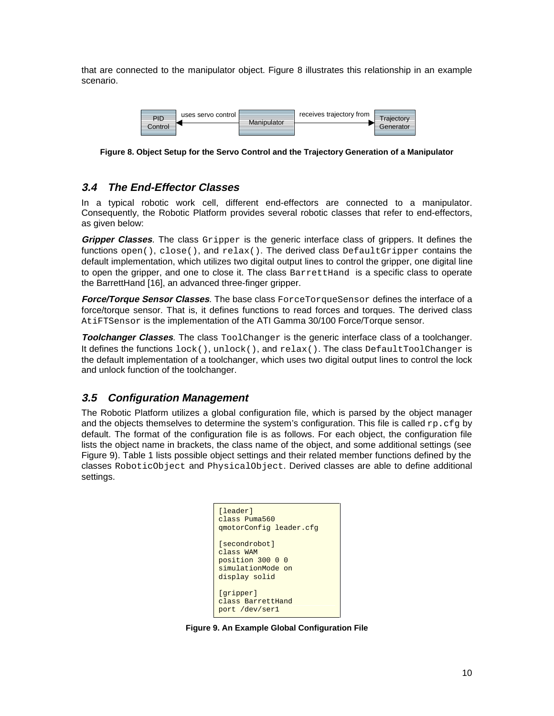that are connected to the manipulator object. Figure 8 illustrates this relationship in an example scenario.



**Figure 8. Object Setup for the Servo Control and the Trajectory Generation of a Manipulator** 

### **3.4 The End-Effector Classes**

In a typical robotic work cell, different end-effectors are connected to a manipulator. Consequently, the Robotic Platform provides several robotic classes that refer to end-effectors, as given below:

**Gripper Classes**. The class Gripper is the generic interface class of grippers. It defines the functions  $open()$ , close(), and relax(). The derived class  $Definitioner$  contains the default implementation, which utilizes two digital output lines to control the gripper, one digital line to open the gripper, and one to close it. The class BarrettHand is a specific class to operate the BarrettHand [16], an advanced three-finger gripper.

**Force/Torque Sensor Classes**. The base class ForceTorqueSensor defines the interface of a force/torque sensor. That is, it defines functions to read forces and torques. The derived class AtiFTSensor is the implementation of the ATI Gamma 30/100 Force/Torque sensor.

**Toolchanger Classes**. The class ToolChanger is the generic interface class of a toolchanger. It defines the functions  $lock()$ , unlock $()$ , and relax $()$ . The class DefaultToolChanger is the default implementation of a toolchanger, which uses two digital output lines to control the lock and unlock function of the toolchanger.

### **3.5 Configuration Management**

The Robotic Platform utilizes a global configuration file, which is parsed by the object manager and the objects themselves to determine the system's configuration. This file is called  $rp$ .  $cfq$  by default. The format of the configuration file is as follows. For each object, the configuration file lists the object name in brackets, the class name of the object, and some additional settings (see Figure 9). Table 1 lists possible object settings and their related member functions defined by the classes RoboticObject and PhysicalObject. Derived classes are able to define additional settings.



**Figure 9. An Example Global Configuration File**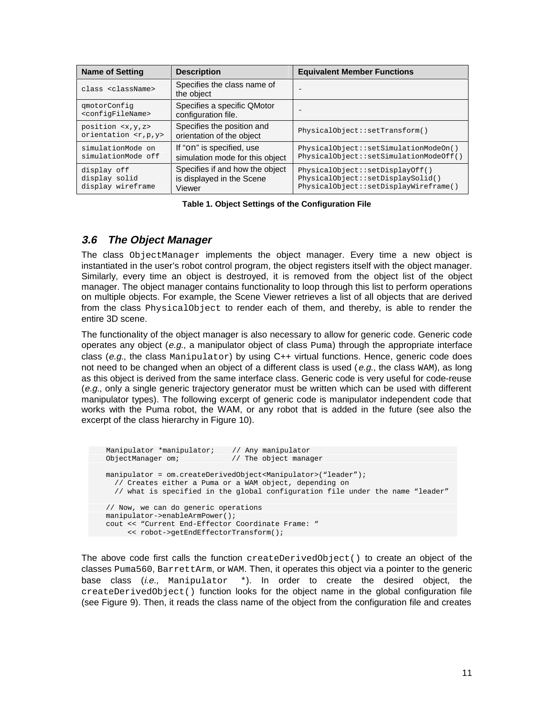| <b>Name of Setting</b>                            | <b>Description</b>                                                     | <b>Equivalent Member Functions</b>                                                                            |
|---------------------------------------------------|------------------------------------------------------------------------|---------------------------------------------------------------------------------------------------------------|
| class <classname></classname>                     | Specifies the class name of<br>the object                              |                                                                                                               |
| qmotorConfiq<br><configfilename></configfilename> | Specifies a specific QMotor<br>configuration file.                     |                                                                                                               |
| position $orientation $                           | Specifies the position and<br>orientation of the object                | PhysicalObject::setTransform()                                                                                |
| simulationMode on<br>simulationMode off           | If "on" is specified, use<br>simulation mode for this object           | PhysicalObject::setSimulationModeOn()<br>PhysicalObject::setSimulationModeOff()                               |
| display off<br>display solid<br>display wireframe | Specifies if and how the object<br>is displayed in the Scene<br>Viewer | PhysicalObject::setDisplayOff()<br>PhysicalObject::setDisplaySolid()<br>PhysicalObject::setDisplayWireframe() |

**Table 1. Object Settings of the Configuration File** 

#### **3.6 The Object Manager**

The class ObjectManager implements the object manager. Every time a new object is instantiated in the user's robot control program, the object registers itself with the object manager. Similarly, every time an object is destroyed, it is removed from the object list of the object manager. The object manager contains functionality to loop through this list to perform operations on multiple objects. For example, the Scene Viewer retrieves a list of all objects that are derived from the class PhysicalObject to render each of them, and thereby, is able to render the entire 3D scene.

The functionality of the object manager is also necessary to allow for generic code. Generic code operates any object (e.g., a manipulator object of class  $Puma$ ) through the appropriate interface class (e.g., the class Manipulator) by using  $C++$  virtual functions. Hence, generic code does not need to be changed when an object of a different class is used (e.g., the class  $WAM$ ), as long as this object is derived from the same interface class. Generic code is very useful for code-reuse (e.g., only a single generic trajectory generator must be written which can be used with different manipulator types). The following excerpt of generic code is manipulator independent code that works with the Puma robot, the WAM, or any robot that is added in the future (see also the excerpt of the class hierarchy in Figure 10).

```
Manipulator *manipulator; // Any manipulator<br>ObjectManager om; // The object manag
                      \frac{1}{2} The object manager
manipulator = om.createDerivedObject<Manipulator>("leader"); 
  // Creates either a Puma or a WAM object, depending on 
   // what is specified in the global configuration file under the name "leader" 
 // Now, we can do generic operations 
 manipulator->enableArmPower(); 
 cout << "Current End-Effector Coordinate Frame: " 
      << robot->getEndEffectorTransform();
```
The above code first calls the function createDerivedObject() to create an object of the classes Puma560, BarrettArm, or WAM. Then, it operates this object via a pointer to the generic base class  $(i.e.,$  Manipulator  $*)$ . In order to create the desired object, the createDerivedObject() function looks for the object name in the global configuration file (see Figure 9). Then, it reads the class name of the object from the configuration file and creates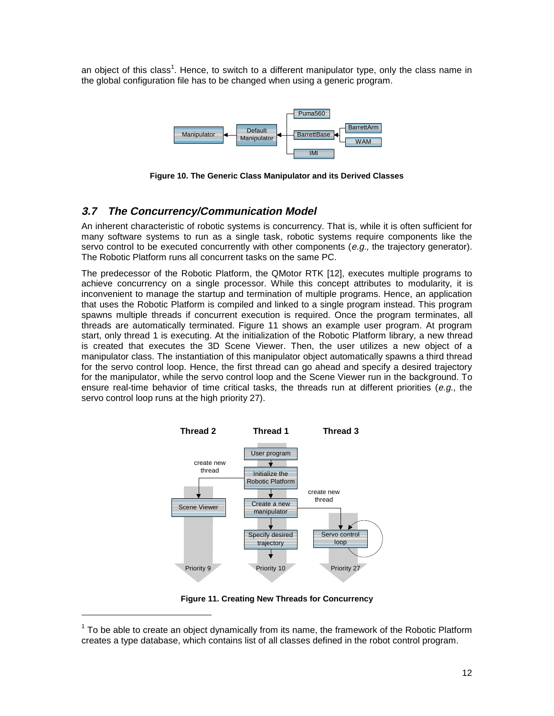an object of this class<sup>1</sup>. Hence, to switch to a different manipulator type, only the class name in the global configuration file has to be changed when using a generic program.



**Figure 10. The Generic Class Manipulator and its Derived Classes** 

#### **3.7 The Concurrency/Communication Model**

l

An inherent characteristic of robotic systems is concurrency. That is, while it is often sufficient for many software systems to run as a single task, robotic systems require components like the servo control to be executed concurrently with other components  $(e.g., the trajectory generator)$ . The Robotic Platform runs all concurrent tasks on the same PC.

The predecessor of the Robotic Platform, the QMotor RTK [12], executes multiple programs to achieve concurrency on a single processor. While this concept attributes to modularity, it is inconvenient to manage the startup and termination of multiple programs. Hence, an application that uses the Robotic Platform is compiled and linked to a single program instead. This program spawns multiple threads if concurrent execution is required. Once the program terminates, all threads are automatically terminated. Figure 11 shows an example user program. At program start, only thread 1 is executing. At the initialization of the Robotic Platform library, a new thread is created that executes the 3D Scene Viewer. Then, the user utilizes a new object of a manipulator class. The instantiation of this manipulator object automatically spawns a third thread for the servo control loop. Hence, the first thread can go ahead and specify a desired trajectory for the manipulator, while the servo control loop and the Scene Viewer run in the background. To ensure real-time behavior of time critical tasks, the threads run at different priorities (e.g., the servo control loop runs at the high priority 27).



**Figure 11. Creating New Threads for Concurrency** 

 $1$  To be able to create an object dynamically from its name, the framework of the Robotic Platform creates a type database, which contains list of all classes defined in the robot control program.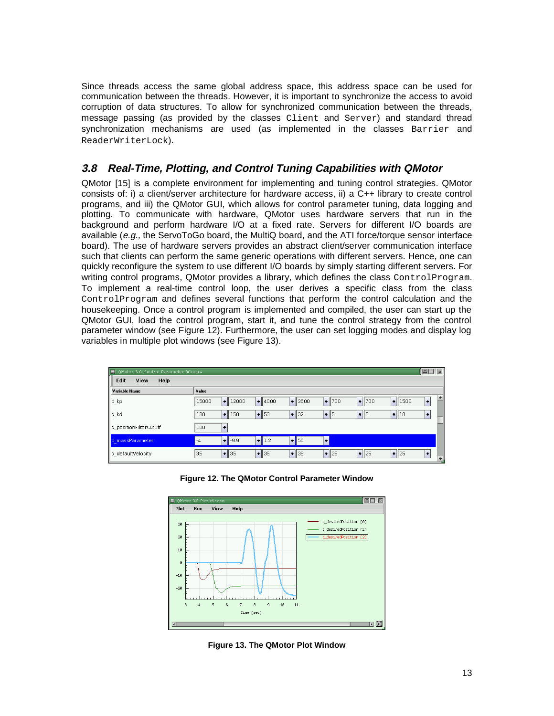Since threads access the same global address space, this address space can be used for communication between the threads. However, it is important to synchronize the access to avoid corruption of data structures. To allow for synchronized communication between the threads, message passing (as provided by the classes Client and Server) and standard thread synchronization mechanisms are used (as implemented in the classes Barrier and ReaderWriterLock).

#### **3.8 Real-Time, Plotting, and Control Tuning Capabilities with QMotor**

QMotor [15] is a complete environment for implementing and tuning control strategies. QMotor consists of: i) a client/server architecture for hardware access, ii) a C++ library to create control programs, and iii) the QMotor GUI, which allows for control parameter tuning, data logging and plotting. To communicate with hardware, QMotor uses hardware servers that run in the background and perform hardware I/O at a fixed rate. Servers for different I/O boards are available (e.g., the ServoToGo board, the MultiQ board, and the ATI force/torque sensor interface board). The use of hardware servers provides an abstract client/server communication interface such that clients can perform the same generic operations with different servers. Hence, one can quickly reconfigure the system to use different I/O boards by simply starting different servers. For writing control programs, QMotor provides a library, which defines the class ControlProgram. To implement a real-time control loop, the user derives a specific class from the class ControlProgram and defines several functions that perform the control calculation and the housekeeping. Once a control program is implemented and compiled, the user can start up the QMotor GUI, load the control program, start it, and tune the control strategy from the control parameter window (see Figure 12). Furthermore, the user can set logging modes and display log variables in multiple plot windows (see Figure 13).

| OMotor 3.0 Control Parameter Window<br>E |                                                                                                                                          | 国口回       |  |  |  |
|------------------------------------------|------------------------------------------------------------------------------------------------------------------------------------------|-----------|--|--|--|
| View<br>Help<br>Edit                     |                                                                                                                                          |           |  |  |  |
| Variable Name                            | Value                                                                                                                                    |           |  |  |  |
| d_kp                                     | $\bullet$ 3600<br>$\big $ + 700<br>$\bullet$ 4000<br>$\bullet$ 700<br>$\big $ + 12000<br>$-1500$<br>15000                                | ∙<br>١÷   |  |  |  |
| d_kd                                     | $\bullet$ 53<br>$\vert \bullet \vert \vert$ 32<br>$\vert \bullet \vert \vert 5$<br>$-$ 5<br>130<br>$\bullet$ 150<br>$\bullet$ 10         | ×         |  |  |  |
| d positionFilterCutOff                   | 100<br>$\bullet$                                                                                                                         |           |  |  |  |
| d massParameter                          | $\bullet$ -9.9<br>$\bullet$ 1.2<br>56<br>$\left  \bullet \right $<br>$-4$<br>т÷                                                          |           |  |  |  |
| d defaultVelocity                        | $\frac{1}{25}$<br>$\cdot$ 25<br>$\big  \bullet \big  35$<br>$\big  \bullet \big  35$<br>35<br>$\frac{1}{2}$ 35<br>$\vert \cdot \vert$ 25 | l e<br>E, |  |  |  |





**Figure 13. The QMotor Plot Window**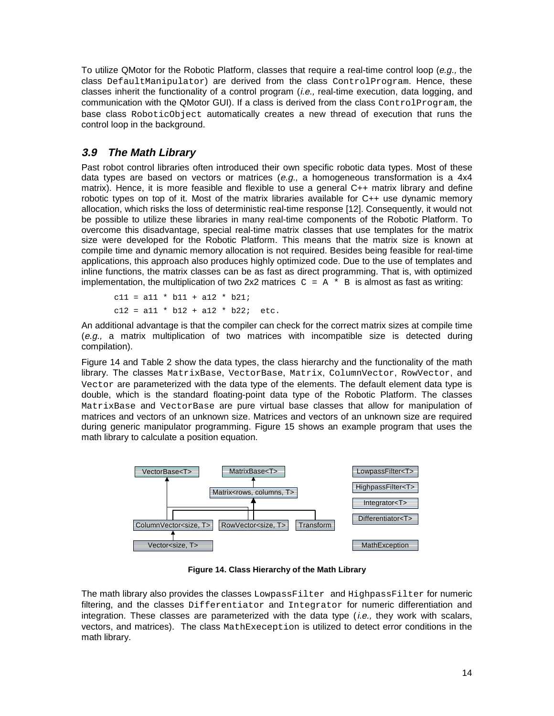To utilize QMotor for the Robotic Platform, classes that require a real-time control loop (e.g., the class DefaultManipulator) are derived from the class ControlProgram. Hence, these classes inherit the functionality of a control program  $(i.e.,$  real-time execution, data logging, and communication with the QMotor GUI). If a class is derived from the class ControlProgram, the base class RoboticObject automatically creates a new thread of execution that runs the control loop in the background.

### **3.9 The Math Library**

Past robot control libraries often introduced their own specific robotic data types. Most of these data types are based on vectors or matrices (e.g., a homogeneous transformation is a  $4x4$ matrix). Hence, it is more feasible and flexible to use a general C++ matrix library and define robotic types on top of it. Most of the matrix libraries available for C++ use dynamic memory allocation, which risks the loss of deterministic real-time response [12]. Consequently, it would not be possible to utilize these libraries in many real-time components of the Robotic Platform. To overcome this disadvantage, special real-time matrix classes that use templates for the matrix size were developed for the Robotic Platform. This means that the matrix size is known at compile time and dynamic memory allocation is not required. Besides being feasible for real-time applications, this approach also produces highly optimized code. Due to the use of templates and inline functions, the matrix classes can be as fast as direct programming. That is, with optimized implementation, the multiplication of two 2x2 matrices  $C = A * B$  is almost as fast as writing:

 $c11 = a11 * b11 + a12 * b21;$  $c12 = a11 * b12 + a12 * b22i$  etc.

An additional advantage is that the compiler can check for the correct matrix sizes at compile time (e.g., a matrix multiplication of two matrices with incompatible size is detected during compilation).

Figure 14 and Table 2 show the data types, the class hierarchy and the functionality of the math library. The classes MatrixBase, VectorBase, Matrix, ColumnVector, RowVector, and Vector are parameterized with the data type of the elements. The default element data type is double, which is the standard floating-point data type of the Robotic Platform. The classes MatrixBase and VectorBase are pure virtual base classes that allow for manipulation of matrices and vectors of an unknown size. Matrices and vectors of an unknown size are required during generic manipulator programming. Figure 15 shows an example program that uses the math library to calculate a position equation.



**Figure 14. Class Hierarchy of the Math Library** 

The math library also provides the classes LowpassFilter and HighpassFilter for numeric filtering, and the classes Differentiator and Integrator for numeric differentiation and integration. These classes are parameterized with the data type  $(i.e.,$  they work with scalars, vectors, and matrices). The class MathExeception is utilized to detect error conditions in the math library.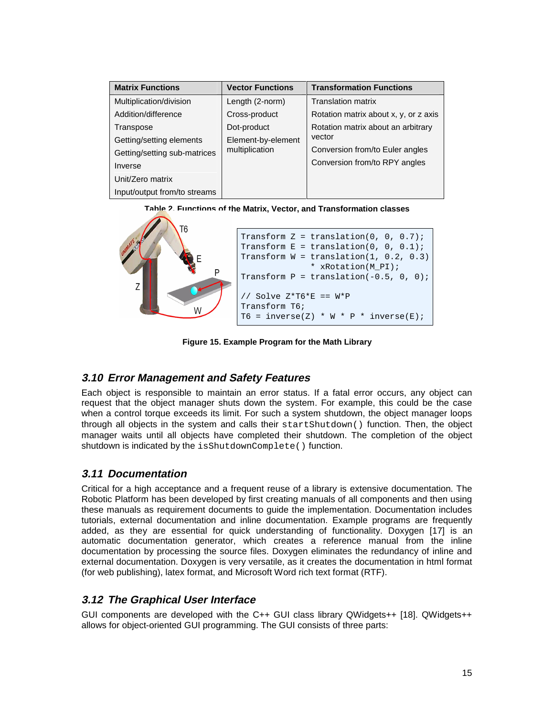| <b>Matrix Functions</b>      | <b>Vector Functions</b> | <b>Transformation Functions</b>       |
|------------------------------|-------------------------|---------------------------------------|
| Multiplication/division      | Length (2-norm)         | <b>Translation matrix</b>             |
| Addition/difference          | Cross-product           | Rotation matrix about x, y, or z axis |
| Transpose                    | Dot-product             | Rotation matrix about an arbitrary    |
| Getting/setting elements     | Element-by-element      | vector                                |
| Getting/setting sub-matrices | multiplication          | Conversion from/to Euler angles       |
| Inverse                      |                         | Conversion from/to RPY angles         |
| Unit/Zero matrix             |                         |                                       |
| Input/output from/to streams |                         |                                       |

**Table 2. Functions of the Matrix, Vector, and Transformation classes** 



**Figure 15. Example Program for the Math Library** 

#### **3.10 Error Management and Safety Features**

Each object is responsible to maintain an error status. If a fatal error occurs, any object can request that the object manager shuts down the system. For example, this could be the case when a control torque exceeds its limit. For such a system shutdown, the object manager loops through all objects in the system and calls their startShutdown() function. Then, the object manager waits until all objects have completed their shutdown. The completion of the object shutdown is indicated by the isShutdownComplete() function.

#### **3.11 Documentation**

Critical for a high acceptance and a frequent reuse of a library is extensive documentation. The Robotic Platform has been developed by first creating manuals of all components and then using these manuals as requirement documents to guide the implementation. Documentation includes tutorials, external documentation and inline documentation. Example programs are frequently added, as they are essential for quick understanding of functionality. Doxygen [17] is an automatic documentation generator, which creates a reference manual from the inline documentation by processing the source files. Doxygen eliminates the redundancy of inline and external documentation. Doxygen is very versatile, as it creates the documentation in html format (for web publishing), latex format, and Microsoft Word rich text format (RTF).

#### **3.12 The Graphical User Interface**

GUI components are developed with the C++ GUI class library QWidgets++ [18]. QWidgets++ allows for object-oriented GUI programming. The GUI consists of three parts: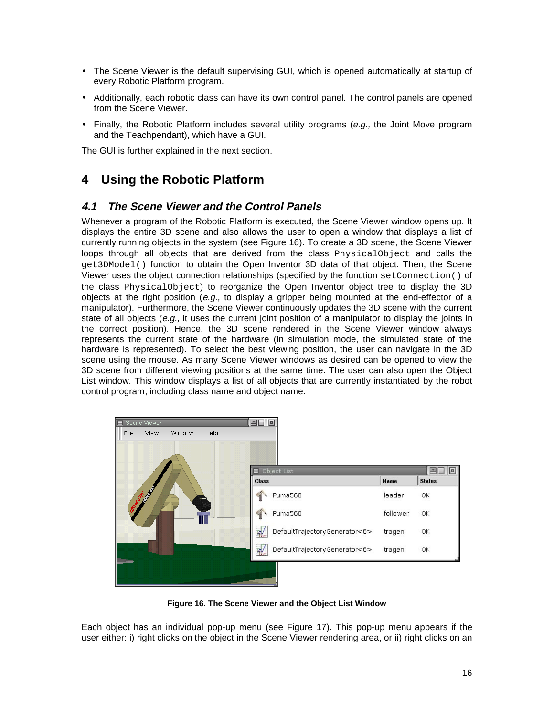- The Scene Viewer is the default supervising GUI, which is opened automatically at startup of every Robotic Platform program.
- Additionally, each robotic class can have its own control panel. The control panels are opened from the Scene Viewer.
- Finally, the Robotic Platform includes several utility programs (e.g., the Joint Move program and the Teachpendant), which have a GUI.

The GUI is further explained in the next section.

## **4 Using the Robotic Platform**

#### **4.1 The Scene Viewer and the Control Panels**

Whenever a program of the Robotic Platform is executed, the Scene Viewer window opens up. It displays the entire 3D scene and also allows the user to open a window that displays a list of currently running objects in the system (see Figure 16). To create a 3D scene, the Scene Viewer loops through all objects that are derived from the class PhysicalObject and calls the get3DModel() function to obtain the Open Inventor 3D data of that object. Then, the Scene Viewer uses the object connection relationships (specified by the function set Connection () of the class PhysicalObject) to reorganize the Open Inventor object tree to display the 3D objects at the right position (e.g., to display a gripper being mounted at the end-effector of a manipulator). Furthermore, the Scene Viewer continuously updates the 3D scene with the current state of all objects (e.g., it uses the current joint position of a manipulator to display the joints in the correct position). Hence, the 3D scene rendered in the Scene Viewer window always represents the current state of the hardware (in simulation mode, the simulated state of the hardware is represented). To select the best viewing position, the user can navigate in the 3D scene using the mouse. As many Scene Viewer windows as desired can be opened to view the 3D scene from different viewing positions at the same time. The user can also open the Object List window. This window displays a list of all objects that are currently instantiated by the robot control program, including class name and object name.



**Figure 16. The Scene Viewer and the Object List Window** 

Each object has an individual pop-up menu (see Figure 17). This pop-up menu appears if the user either: i) right clicks on the object in the Scene Viewer rendering area, or ii) right clicks on an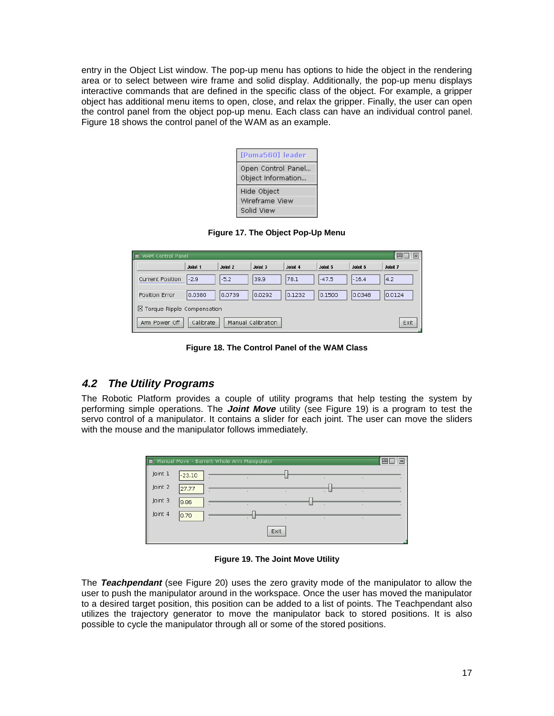entry in the Object List window. The pop-up menu has options to hide the object in the rendering area or to select between wire frame and solid display. Additionally, the pop-up menu displays interactive commands that are defined in the specific class of the object. For example, a gripper object has additional menu items to open, close, and relax the gripper. Finally, the user can open the control panel from the object pop-up menu. Each class can have an individual control panel. Figure 18 shows the control panel of the WAM as an example.

| [Puma560] leader                         |
|------------------------------------------|
| Open Control Panel<br>Object Information |
| Hide Object<br>Wireframe View            |
| Solid View                               |

**Figure 17. The Object Pop-Up Menu** 

| WAM Control Panel<br>$\equiv$ |           |         |                    |         |         |         | 10      |
|-------------------------------|-----------|---------|--------------------|---------|---------|---------|---------|
|                               | Joint 1   | Joint 2 | Joint 3            | Joint 4 | Joint 5 | Joint 6 | Joint 7 |
| <b>Current Position</b>       | $-2.9$    | $-5.2$  | 39.9               | 78.1    | $-47.5$ | $-16.4$ | 4.2     |
| Position Error                | 10.0380   | 0.0739  | 0.0292             | 0.1232  | 0.1500  | 0.0348  | 0.0124  |
| ⊠ Torque Ripple Compensation  |           |         |                    |         |         |         |         |
| Arm Power Off                 | Calibrate |         | Manual Calibration |         |         |         | Exit    |

**Figure 18. The Control Panel of the WAM Class** 

#### **4.2 The Utility Programs**

The Robotic Platform provides a couple of utility programs that help testing the system by performing simple operations. The **Joint Move** utility (see Figure 19) is a program to test the servo control of a manipulator. It contains a slider for each joint. The user can move the sliders with the mouse and the manipulator follows immediately.



**Figure 19. The Joint Move Utility** 

The **Teachpendant** (see Figure 20) uses the zero gravity mode of the manipulator to allow the user to push the manipulator around in the workspace. Once the user has moved the manipulator to a desired target position, this position can be added to a list of points. The Teachpendant also utilizes the trajectory generator to move the manipulator back to stored positions. It is also possible to cycle the manipulator through all or some of the stored positions.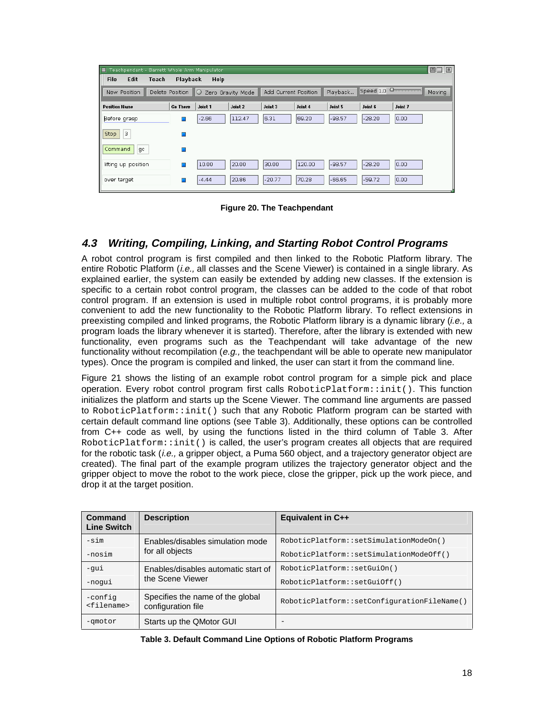| Teachpendant - Barrett Whole Arm Manipulator<br>$\equiv$<br>File<br>Edit<br>Teach | Playback            | Help    |                   |                      |         |          |             | 国口<br>回     |
|-----------------------------------------------------------------------------------|---------------------|---------|-------------------|----------------------|---------|----------|-------------|-------------|
| New Position                                                                      | Delete Position   O |         | Zero Gravity Mode | Add Current Position |         | Playback | Speed 1.0 D | .<br>Moving |
| <b>Position Name</b>                                                              | <b>Go There</b>     | Joint 1 | Joint 2           | Joint 3              | Joint 4 | Joint 5  | Joint 6     | Joint 7     |
| Before grasp                                                                      |                     | $-2.66$ | 112.47            | 6.31                 | 69.20   | $-98.57$ | $-28.20$    | 0.00        |
| Stop<br>3                                                                         |                     |         |                   |                      |         |          |             |             |
| Command<br>gc                                                                     |                     |         |                   |                      |         |          |             |             |
| lifting up position                                                               |                     | 10.00   | 20.00             | 30.00                | 120.00  | $-98.57$ | $-28.20$    | 0.00        |
| over target                                                                       |                     | $-4.44$ | 20.86             | $-20.77$             | 70.28   | $-66.65$ | $-59.72$    | 0.00        |

**Figure 20. The Teachpendant** 

#### **4.3 Writing, Compiling, Linking, and Starting Robot Control Programs**

A robot control program is first compiled and then linked to the Robotic Platform library. The entire Robotic Platform (i.e., all classes and the Scene Viewer) is contained in a single library. As explained earlier, the system can easily be extended by adding new classes. If the extension is specific to a certain robot control program, the classes can be added to the code of that robot control program. If an extension is used in multiple robot control programs, it is probably more convenient to add the new functionality to the Robotic Platform library. To reflect extensions in preexisting compiled and linked programs, the Robotic Platform library is a dynamic library (i.e., a program loads the library whenever it is started). Therefore, after the library is extended with new functionality, even programs such as the Teachpendant will take advantage of the new functionality without recompilation ( $e.g.,$  the teachpendant will be able to operate new manipulator types). Once the program is compiled and linked, the user can start it from the command line.

Figure 21 shows the listing of an example robot control program for a simple pick and place operation. Every robot control program first calls RoboticPlatform::init(). This function initializes the platform and starts up the Scene Viewer. The command line arguments are passed to RoboticPlatform::init() such that any Robotic Platform program can be started with certain default command line options (see Table 3). Additionally, these options can be controlled from C++ code as well, by using the functions listed in the third column of Table 3. After RoboticPlatform::init() is called, the user's program creates all objects that are required for the robotic task (i.e., a gripper object, a Puma 560 object, and a trajectory generator object are created). The final part of the example program utilizes the trajectory generator object and the gripper object to move the robot to the work piece, close the gripper, pick up the work piece, and drop it at the target position.

| Command<br><b>Line Switch</b>    | <b>Description</b>                                     | <b>Equivalent in C++</b>                    |
|----------------------------------|--------------------------------------------------------|---------------------------------------------|
|                                  |                                                        |                                             |
| $-sim$                           | Enables/disables simulation mode                       | RoboticPlatform::setSimulationModeOn()      |
| -nosim                           | for all objects                                        | RoboticPlatform::setSimulationModeOff()     |
| -qui                             | Enables/disables automatic start of                    | RoboticPlatform::setGuiOn()                 |
| -noqui                           | the Scene Viewer                                       | RoboticPlatform::setGuiOff()                |
| -config<br><filename></filename> | Specifies the name of the global<br>configuration file | RoboticPlatform::setConfigurationFileName() |
| -gmotor                          | Starts up the QMotor GUI                               | -                                           |

**Table 3. Default Command Line Options of Robotic Platform Programs**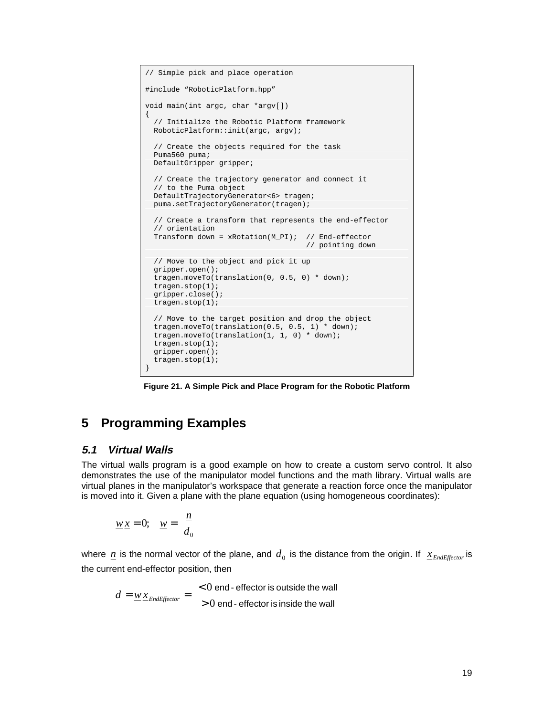```
// Simple pick and place operation 
#include "RoboticPlatform.hpp" 
void main(int argc, char *argv[]) 
\{ // Initialize the Robotic Platform framework 
  RoboticPlatform::init(argc, argv); 
   // Create the objects required for the task 
   Puma560 puma; 
   DefaultGripper gripper; 
   // Create the trajectory generator and connect it 
   // to the Puma object 
   DefaultTrajectoryGenerator<6> tragen; 
   puma.setTrajectoryGenerator(tragen); 
  // Create a transform that represents the end-effector 
   // orientation 
  Transform down = xRotation(M_PI); // End-effector
                                        // pointing down 
   // Move to the object and pick it up 
   gripper.open(); 
   tragen.moveTo(translation(0, 0.5, 0) * down); 
   tragen.stop(1); 
   gripper.close(); 
  tragen.stop(1); 
  // Move to the target position and drop the object 
 tragen.moveTo(translation(0.5, 0.5, 1) * down);
  tragen.moveTo(translation(1, 1, 0) * down);
   tragen.stop(1); 
   gripper.open(); 
   tragen.stop(1); 
}
```
**Figure 21. A Simple Pick and Place Program for the Robotic Platform** 

## **5 Programming Examples**

#### **5.1 Virtual Walls**

The virtual walls program is a good example on how to create a custom servo control. It also demonstrates the use of the manipulator model functions and the math library. Virtual walls are virtual planes in the manipulator's workspace that generate a reaction force once the manipulator is moved into it. Given a plane with the plane equation (using homogeneous coordinates):

$$
\underline{w}\,\underline{x} = 0; \quad \underline{w} = \begin{pmatrix} \underline{n} \\ d_0 \end{pmatrix}
$$

where  $\underline{n}$  is the normal vector of the plane, and  $d_0$  is the distance from the origin. If  $\underline{x}_{EndEffector}$  is the current end-effector position, then

$$
d = \underbrace{w \, x}_{\text{EndEffector}} = \begin{cases} < 0 \text{ end - effector is outside the wall} \\ > 0 \text{ end - effector is inside the wall} \end{cases}
$$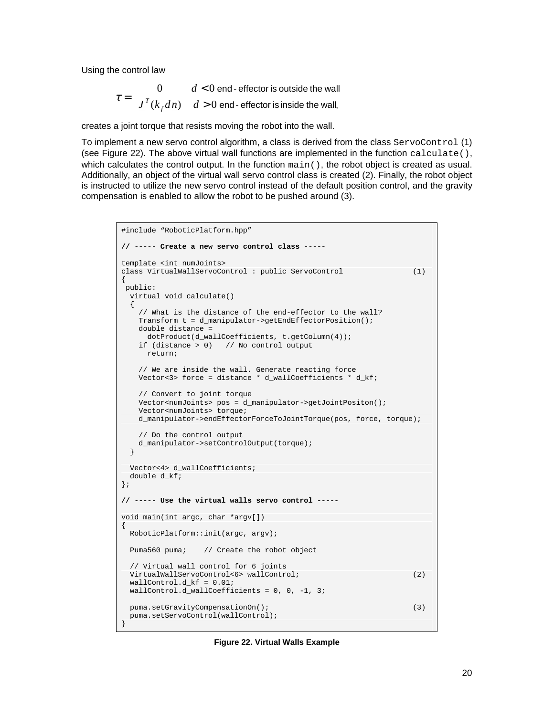Using the control law

$$
\tau = \begin{cases}\n0 & d < 0 \text{ end-effector is outside the wall} \\
\underline{J}^T(k_f d\underline{n}) & d > 0 \text{ end-effector is inside the wall,} \n\end{cases}
$$

creates a joint torque that resists moving the robot into the wall.

To implement a new servo control algorithm, a class is derived from the class ServoControl (1) (see Figure 22). The above virtual wall functions are implemented in the function calculate(), which calculates the control output. In the function  $\text{main}($ ), the robot object is created as usual. Additionally, an object of the virtual wall servo control class is created (2). Finally, the robot object is instructed to utilize the new servo control instead of the default position control, and the gravity compensation is enabled to allow the robot to be pushed around (3).

```
#include "RoboticPlatform.hpp" 
// ----- Create a new servo control class ----- 
template <int numJoints> 
class VirtualWallServoControl : public ServoControl (1) 
{ 
 public: 
   virtual void calculate() 
\{ // What is the distance of the end-effector to the wall? 
    Transform t = d_manipulator->getEndEffectorPosition(); 
    double distance = 
     dotProduct(d_wallCoefficients, t.getColumn(4));
    if (distance > 0) // No control output 
      return; 
    // We are inside the wall. Generate reacting force 
    Vector<3> force = distance * d_wallCoefficients * d_kf; 
    // Convert to joint torque 
    Vector<numJoints> pos = d_manipulator->getJointPositon(); 
    Vector<numJoints> torque; 
    d_manipulator->endEffectorForceToJointTorque(pos, force, torque); 
     // Do the control output 
     d_manipulator->setControlOutput(torque); 
   } 
   Vector<4> d_wallCoefficients; 
   double d_kf; 
}; 
// ----- Use the virtual walls servo control ----- 
void main(int argc, char *argv[]) 
{ 
   RoboticPlatform::init(argc, argv); 
   Puma560 puma; // Create the robot object 
   // Virtual wall control for 6 joints 
  VirtualWallServoControl<6> wallControl; (2)
   wallControl.d_kf = 0.01; 
   wallControl.d_wallCoefficients = 0, 0, -1, 3; 
  puma.setGravityCompensationOn(); (3)
   puma.setServoControl(wallControl); 
}
```
**Figure 22. Virtual Walls Example**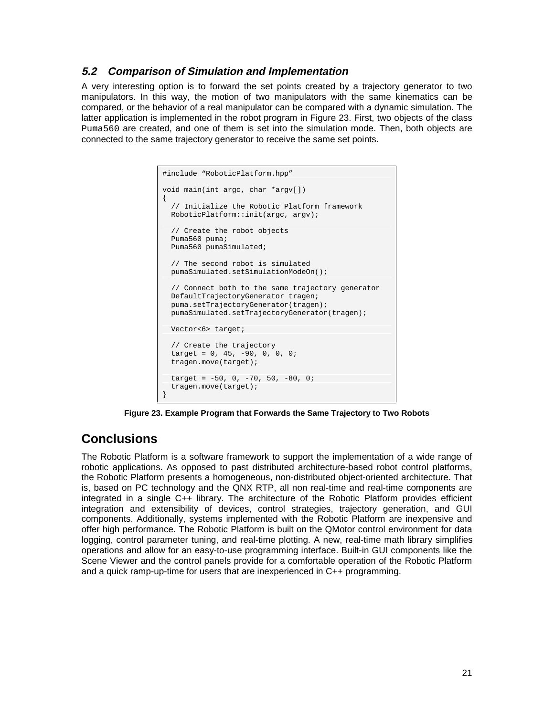#### **5.2 Comparison of Simulation and Implementation**

A very interesting option is to forward the set points created by a trajectory generator to two manipulators. In this way, the motion of two manipulators with the same kinematics can be compared, or the behavior of a real manipulator can be compared with a dynamic simulation. The latter application is implemented in the robot program in Figure 23. First, two objects of the class Puma560 are created, and one of them is set into the simulation mode. Then, both objects are connected to the same trajectory generator to receive the same set points.

```
#include "RoboticPlatform.hpp" 
void main(int argc, char *argv[]) 
{ 
   // Initialize the Robotic Platform framework 
  RoboticPlatform::init(argc, argv); 
   // Create the robot objects 
   Puma560 puma; 
  Puma560 pumaSimulated; 
  // The second robot is simulated 
  pumaSimulated.setSimulationModeOn(); 
   // Connect both to the same trajectory generator 
  DefaultTrajectoryGenerator tragen; 
  puma.setTrajectoryGenerator(tragen); 
  pumaSimulated.setTrajectoryGenerator(tragen); 
  Vector<6> target; 
   // Create the trajectory 
   target = 0, 45, -90, 0, 0, 0; 
   tragen.move(target); 
  target = -50, 0, -70, 50, -80, 0;
   tragen.move(target); 
}
```
**Figure 23. Example Program that Forwards the Same Trajectory to Two Robots**

## **Conclusions**

The Robotic Platform is a software framework to support the implementation of a wide range of robotic applications. As opposed to past distributed architecture-based robot control platforms, the Robotic Platform presents a homogeneous, non-distributed object-oriented architecture. That is, based on PC technology and the QNX RTP, all non real-time and real-time components are integrated in a single C++ library. The architecture of the Robotic Platform provides efficient integration and extensibility of devices, control strategies, trajectory generation, and GUI components. Additionally, systems implemented with the Robotic Platform are inexpensive and offer high performance. The Robotic Platform is built on the QMotor control environment for data logging, control parameter tuning, and real-time plotting. A new, real-time math library simplifies operations and allow for an easy-to-use programming interface. Built-in GUI components like the Scene Viewer and the control panels provide for a comfortable operation of the Robotic Platform and a quick ramp-up-time for users that are inexperienced in C++ programming.